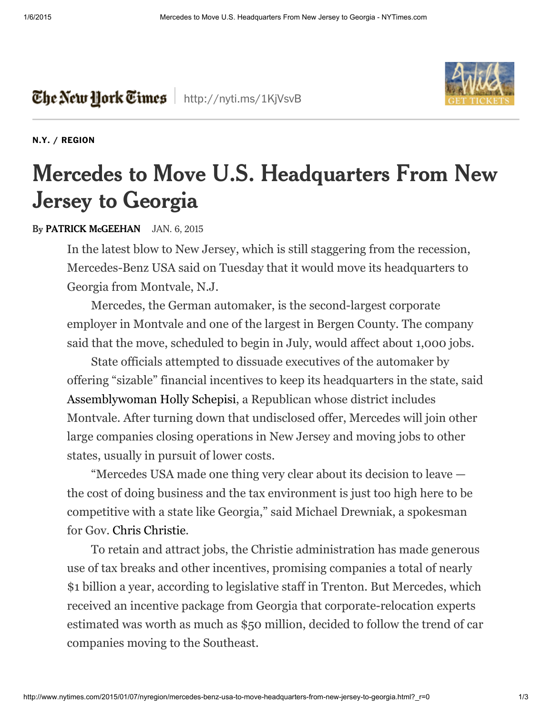



**N.Y. / [REGION](http://www.nytimes.com/pages/nyregion/index.html)**

## **Mercedes to Move U.S. Headquarters From New Jersey to Georgia**

## **By PATRICK [McGEEHAN](http://topics.nytimes.com/top/reference/timestopics/people/m/patrick_mcgeehan/index.html)** JAN. 6, 2015

In the latest blow to New Jersey, which is still staggering from the recession, Mercedes-Benz USA said on Tuesday that it would move its headquarters to Georgia from Montvale, N.J.

Mercedes, the German automaker, is the second-largest corporate employer in Montvale and one of the largest in Bergen County. The company said that the move, scheduled to begin in July, would affect about 1,000 jobs.

State officials attempted to dissuade executives of the automaker by offering "sizable" financial incentives to keep its headquarters in the state, said [Assemblywoman](http://www.njleg.state.nj.us/members/bio.asp?Leg=350) Holly Schepisi, a Republican whose district includes Montvale. After turning down that undisclosed offer, Mercedes will join other large companies closing operations in New Jersey and moving jobs to other states, usually in pursuit of lower costs.

"Mercedes USA made one thing very clear about its decision to leave the cost of doing business and the tax environment is just too high here to be competitive with a state like Georgia," said Michael Drewniak, a spokesman for Gov. Chris [Christie.](http://topics.nytimes.com/top/reference/timestopics/people/c/christopher_j_christie/index.html?8qa&module=Search&mabReward=relbias%3Ar%2C{%221%22%3A%22RI%3A9%22})

To retain and attract jobs, the Christie administration has made generous use of tax breaks and other incentives, promising companies a total of nearly \$1 billion a year, according to legislative staff in Trenton. But Mercedes, which received an incentive package from Georgia that corporate-relocation experts estimated was worth as much as \$50 million, decided to follow the trend of car companies moving to the Southeast.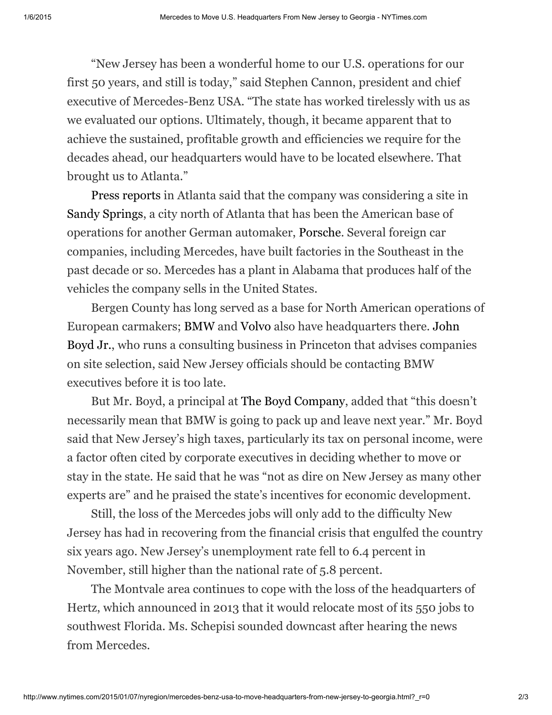"New Jersey has been a wonderful home to our U.S. operations for our first 50 years, and still is today," said Stephen Cannon, president and chief executive of Mercedes-Benz USA. "The state has worked tirelessly with us as we evaluated our options. Ultimately, though, it became apparent that to achieve the sustained, profitable growth and efficiencies we require for the decades ahead, our headquarters would have to be located elsewhere. That brought us to Atlanta."

Press [reports](http://www.ajc.com/news/business/fulton-county-authorities-meet-to-discuss-mercedes/njg7Z/) in Atlanta said that the company was considering a site in Sandy [Springs,](http://www.sandyspringsga.org/) a city north of Atlanta that has been the American base of operations for another German automaker, [Porsche](http://www.porsche.com/). Several foreign car companies, including Mercedes, have built factories in the Southeast in the past decade or so. Mercedes has a plant in Alabama that produces half of the vehicles the company sells in the United States.

Bergen County has long served as a base for North American operations of European carmakers; [BMW](http://www.bmwusa.com/) and [Volvo](http://www.volvocars.com/us/) also have [headquarters](https://www.linkedin.com/in/johnboydjr) there. John Boyd Jr., who runs a consulting business in Princeton that advises companies on site selection, said New Jersey officials should be contacting BMW executives before it is too late.

But Mr. Boyd, a principal at The Boyd [Company,](http://www.theboydcompany.com/contact.php) added that "this doesn't necessarily mean that BMW is going to pack up and leave next year." Mr. Boyd said that New Jersey's high taxes, particularly its tax on personal income, were a factor often cited by corporate executives in deciding whether to move or stay in the state. He said that he was "not as dire on New Jersey as many other experts are" and he praised the state's incentives for economic development.

Still, the loss of the Mercedes jobs will only add to the difficulty New Jersey has had in recovering from the financial crisis that engulfed the country six years ago. New Jersey's unemployment rate fell to 6.4 percent in November, still higher than the national rate of 5.8 percent.

The Montvale area continues to cope with the loss of the headquarters of Hertz, which announced in 2013 that it would relocate most of its 550 jobs to southwest Florida. Ms. Schepisi sounded downcast after hearing the news from Mercedes.